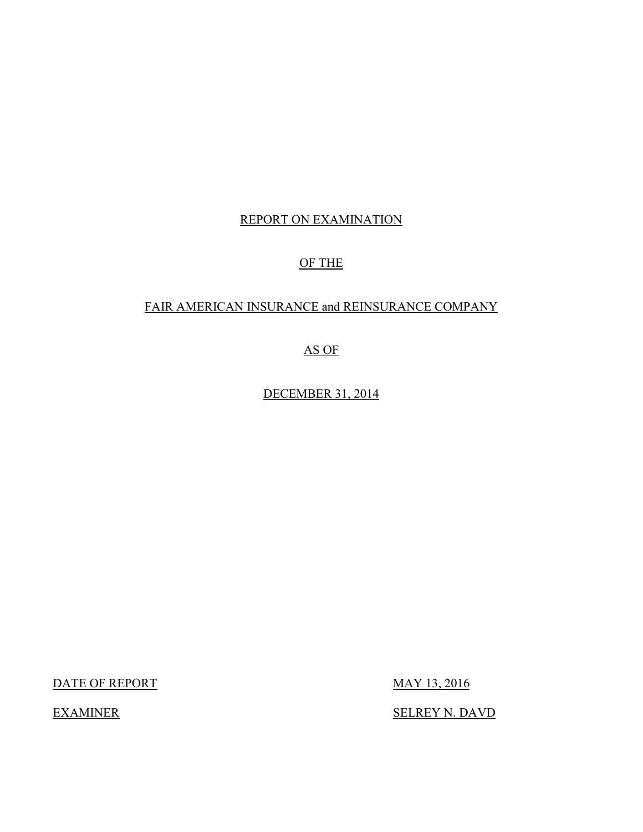## REPORT ON EXAMINATION

## OF THE

## FAIR AMERICAN INSURANCE and REINSURANCE COMPANY

## AS OF

DECEMBER 31, 2014

DATE OF REPORT MAY 13, 2016

SELREY N. DAVD

**EXAMINER**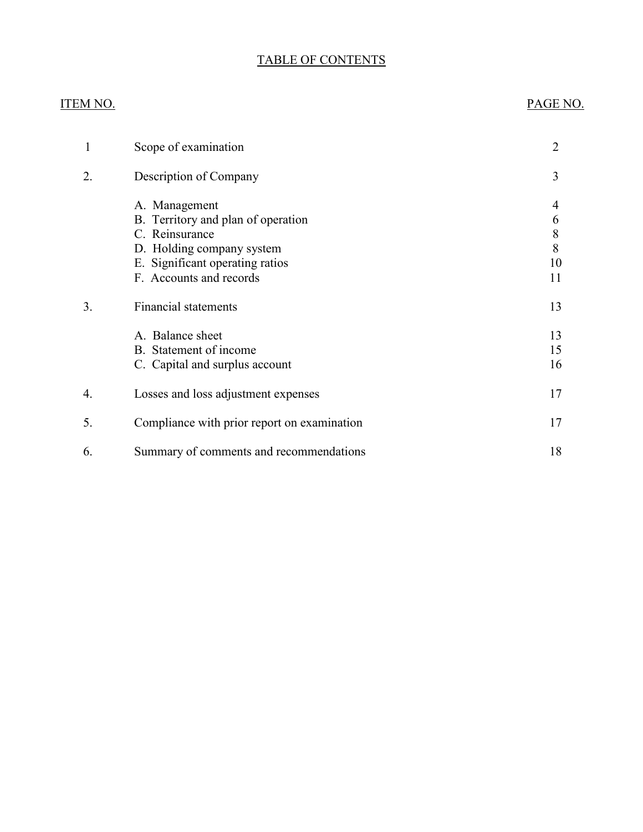## TABLE OF CONTENTS

## ITEM NO. PAGE NO.

| 1  | Scope of examination                                                                                                                                             | 2                            |
|----|------------------------------------------------------------------------------------------------------------------------------------------------------------------|------------------------------|
| 2. | Description of Company                                                                                                                                           | 3                            |
|    | A. Management<br>B. Territory and plan of operation<br>C. Reinsurance<br>D. Holding company system<br>E. Significant operating ratios<br>F. Accounts and records | 4<br>6<br>8<br>8<br>10<br>11 |
| 3. | <b>Financial statements</b>                                                                                                                                      | 13                           |
|    | A. Balance sheet<br>B. Statement of income<br>C. Capital and surplus account                                                                                     | 13<br>15<br>16               |
| 4. | Losses and loss adjustment expenses                                                                                                                              | 17                           |
| 5. | Compliance with prior report on examination                                                                                                                      | 17                           |
| 6. | Summary of comments and recommendations                                                                                                                          | 18                           |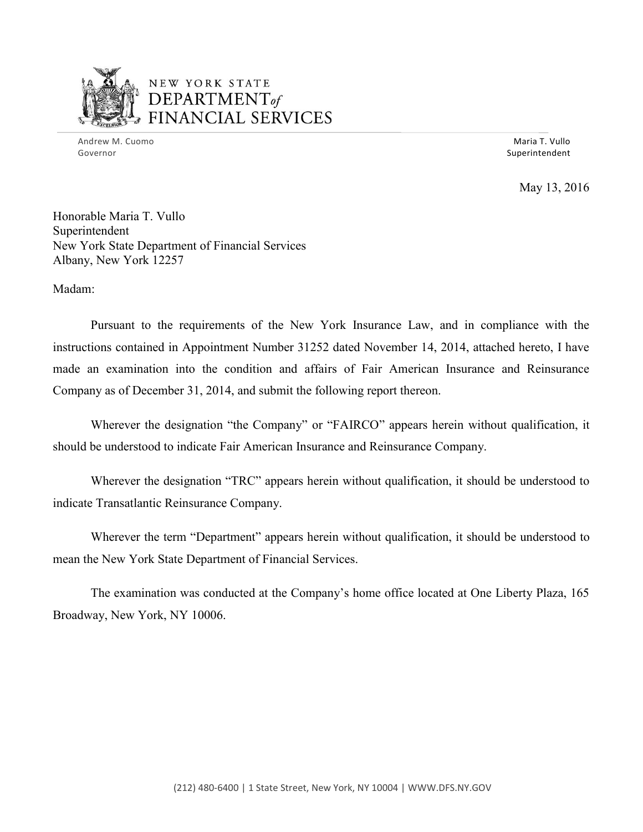

## NEW YORK STATE *DEPARTMENTof ~~\_,.,..r----,0' --..* FINANCIAL SERVICES

Andrew M. Cuomo **Maria T. Vullo** Maria T. Vullo Maria T. Vullo Maria T. Vullo Maria T. Vullo Maria T. Vullo Maria T. Vullo Governor Superintendent Superintendent Superintendent Superintendent Superintendent Superintendent Superintendent

May 13, 2016

Honorable Maria T. Vullo Superintendent New York State Department of Financial Services Albany, New York 12257

Madam:

 instructions contained in Appointment Number 31252 dated November 14, 2014, attached hereto, I have made an examination into the condition and affairs of Fair American Insurance and Reinsurance Pursuant to the requirements of the New York Insurance Law, and in compliance with the Company as of December 31, 2014, and submit the following report thereon.

 should be understood to indicate Fair American Insurance and Reinsurance Company. Wherever the designation "the Company" or "FAIRCO" appears herein without qualification, it

 Wherever the designation "TRC" appears herein without qualification, it should be understood to indicate Transatlantic Reinsurance Company.

 Wherever the term "Department" appears herein without qualification, it should be understood to mean the New York State Department of Financial Services.

The examination was conducted at the Company's home office located at One Liberty Plaza, 165 Broadway, New York, NY 10006.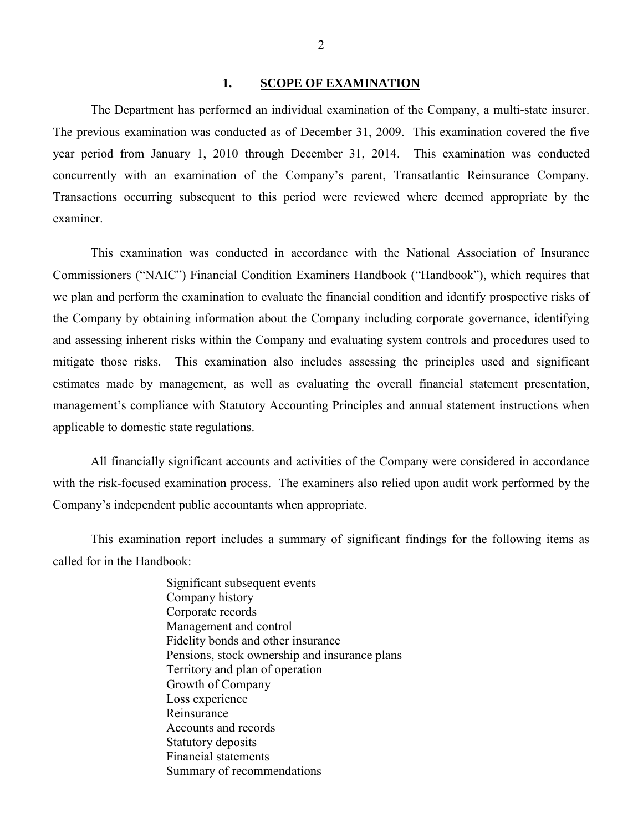#### <span id="page-3-0"></span>**1. SCOPE OF EXAMINATION**

 The Department has performed an individual examination of the Company, a multi-state insurer. The previous examination was conducted as of December 31, 2009. This examination covered the five year period from January 1, 2010 through December 31, 2014. This examination was conducted concurrently with an examination of the Company's parent, Transatlantic Reinsurance Company. Transactions occurring subsequent to this period were reviewed where deemed appropriate by the examiner.

 we plan and perform the examination to evaluate the financial condition and identify prospective risks of the Company by obtaining information about the Company including corporate governance, identifying mitigate those risks. This examination also includes assessing the principles used and significant estimates made by management, as well as evaluating the overall financial statement presentation, management's compliance with Statutory Accounting Principles and annual statement instructions when This examination was conducted in accordance with the National Association of Insurance Commissioners ("NAIC") Financial Condition Examiners Handbook ("Handbook"), which requires that and assessing inherent risks within the Company and evaluating system controls and procedures used to applicable to domestic state regulations.

 All financially significant accounts and activities of the Company were considered in accordance with the risk-focused examination process. The examiners also relied upon audit work performed by the Company's independent public accountants when appropriate.

 This examination report includes a summary of significant findings for the following items as called for in the Handbook:

> Significant subsequent events Company history Corporate records Management and control Fidelity bonds and other insurance Pensions, stock ownership and insurance plans Territory and plan of operation Growth of Company Loss experience Reinsurance Accounts and records Statutory deposits Financial statements Summary of recommendations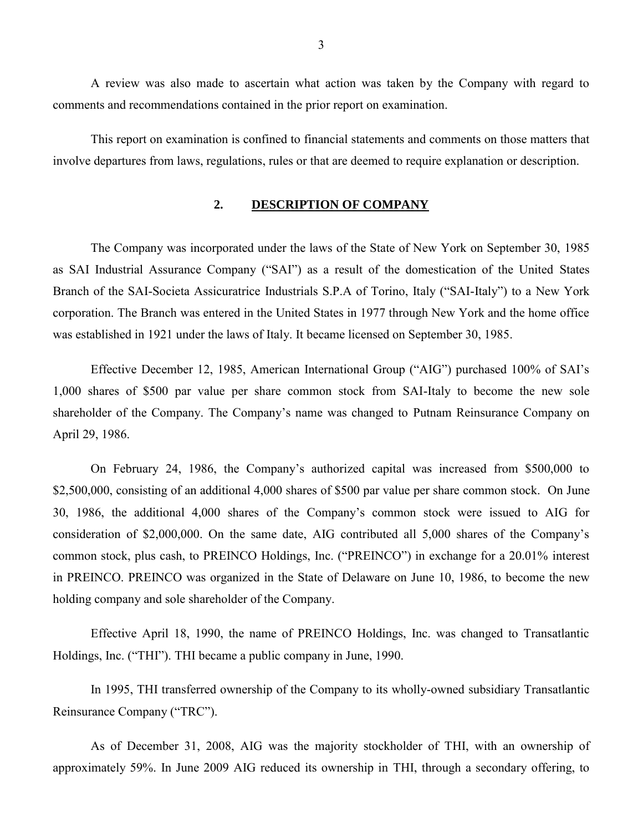A review was also made to ascertain what action was taken by the Company with regard to comments and recommendations contained in the prior report on examination.

This report on examination is confined to financial statements and comments on those matters that involve departures from laws, regulations, rules or that are deemed to require explanation or description.

## <span id="page-4-0"></span>**2. DESCRIPTION OF COMPANY**

 The Company was incorporated under the laws of the State of New York on September 30, 1985 as SAI Industrial Assurance Company ("SAI") as a result of the domestication of the United States Branch of the SAI-Societa Assicuratrice Industrials S.P.A of Torino, Italy ("SAI-Italy") to a New York corporation. The Branch was entered in the United States in 1977 through New York and the home office was established in 1921 under the laws of Italy. It became licensed on September 30, 1985.

 Effective December 12, 1985, American International Group ("AIG") purchased 100% of SAI's 1,000 shares of \$500 par value per share common stock from SAI-Italy to become the new sole shareholder of the Company. The Company's name was changed to Putnam Reinsurance Company on April 29, 1986.

 On February 24, 1986, the Company's authorized capital was increased from \$500,000 to \$2,500,000, consisting of an additional 4,000 shares of \$500 par value per share common stock. On June 30, 1986, the additional 4,000 shares of the Company's common stock were issued to AIG for consideration of \$2,000,000. On the same date, AIG contributed all 5,000 shares of the Company's common stock, plus cash, to PREINCO Holdings, Inc. ("PREINCO") in exchange for a 20.01% interest in PREINCO. PREINCO was organized in the State of Delaware on June 10, 1986, to become the new holding company and sole shareholder of the Company.

 Effective April 18, 1990, the name of PREINCO Holdings, Inc. was changed to Transatlantic Holdings, Inc. ("THI"). THI became a public company in June, 1990.

 In 1995, THI transferred ownership of the Company to its wholly-owned subsidiary Transatlantic Reinsurance Company ("TRC").

 As of December 31, 2008, AIG was the majority stockholder of THI, with an ownership of approximately 59%. In June 2009 AIG reduced its ownership in THI, through a secondary offering, to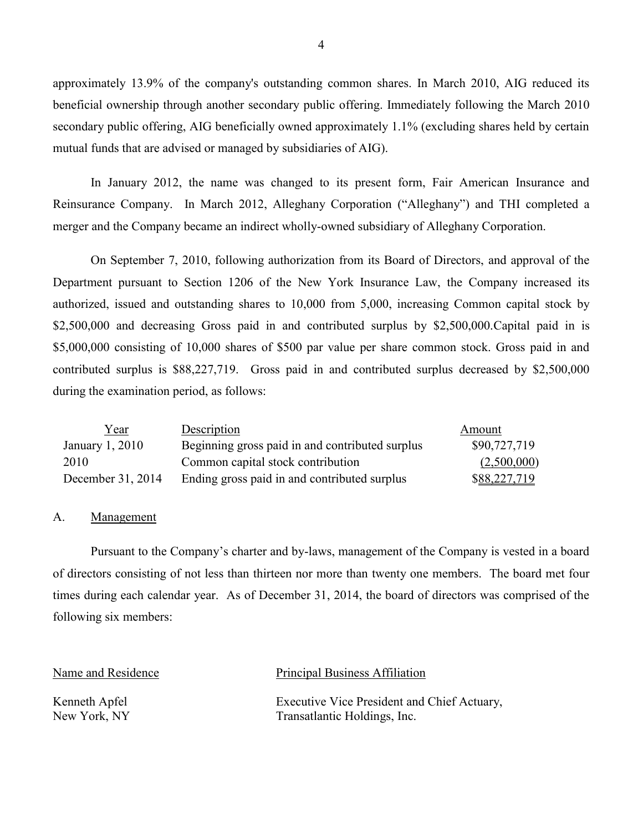approximately 13.9% of the company's outstanding common shares. In March 2010, AIG reduced its beneficial ownership through another secondary public offering. Immediately following the March 2010 secondary public offering, AIG beneficially owned approximately 1.1% (excluding shares held by certain mutual funds that are advised or managed by subsidiaries of AIG).

 In January 2012, the name was changed to its present form, Fair American Insurance and Reinsurance Company. In March 2012, Alleghany Corporation ("Alleghany") and THI completed a merger and the Company became an indirect wholly-owned subsidiary of Alleghany Corporation.

 On September 7, 2010, following authorization from its Board of Directors, and approval of the Department pursuant to Section 1206 of the New York Insurance Law, the Company increased its \$5,000,000 consisting of 10,000 shares of \$500 par value per share common stock. Gross paid in and authorized, issued and outstanding shares to 10,000 from 5,000, increasing Common capital stock by \$2,500,000 and decreasing Gross paid in and contributed surplus by \$2,500,000. Capital paid in is contributed surplus is \$88,227,719. Gross paid in and contributed surplus decreased by \$2,500,000 during the examination period, as follows:

| <u>Year</u>       | Description                                     | Amount       |
|-------------------|-------------------------------------------------|--------------|
| January 1, 2010   | Beginning gross paid in and contributed surplus | \$90,727,719 |
| 2010              | Common capital stock contribution               | (2,500,000)  |
| December 31, 2014 | Ending gross paid in and contributed surplus    | \$88,227,719 |

### <span id="page-5-0"></span>A. Management

 Pursuant to the Company's charter and by-laws, management of the Company is vested in a board of directors consisting of not less than thirteen nor more than twenty one members. The board met four times during each calendar year. As of December 31, 2014, the board of directors was comprised of the following six members:

### Name and Residence Principal Business Affiliation

Kenneth Apfel **Executive Vice President and Chief Actuary**, New York, NY Transatlantic Holdings, Inc.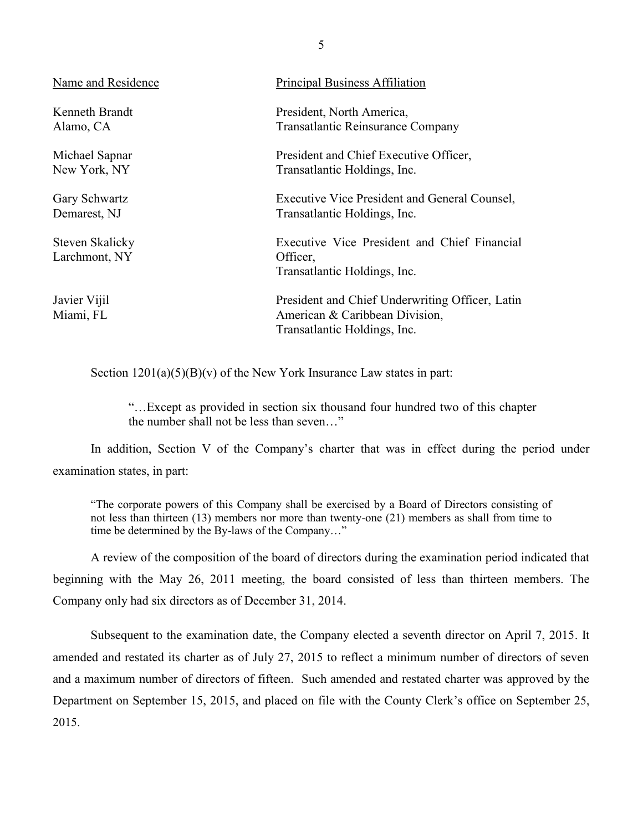| Name and Residence               | <b>Principal Business Affiliation</b>                                                                             |
|----------------------------------|-------------------------------------------------------------------------------------------------------------------|
| Kenneth Brandt                   | President, North America,                                                                                         |
| Alamo, CA                        | <b>Transatlantic Reinsurance Company</b>                                                                          |
| Michael Sapnar                   | President and Chief Executive Officer,                                                                            |
| New York, NY                     | Transatlantic Holdings, Inc.                                                                                      |
| Gary Schwartz                    | Executive Vice President and General Counsel,                                                                     |
| Demarest, NJ                     | Transatlantic Holdings, Inc.                                                                                      |
| Steven Skalicky<br>Larchmont, NY | Executive Vice President and Chief Financial<br>Officer,<br>Transatlantic Holdings, Inc.                          |
| Javier Vijil<br>Miami, FL        | President and Chief Underwriting Officer, Latin<br>American & Caribbean Division,<br>Transatlantic Holdings, Inc. |

Section  $1201(a)(5)(B)(v)$  of the New York Insurance Law states in part:

 "…Except as provided in section six thousand four hundred two of this chapter the number shall not be less than seven…"

In addition, Section V of the Company's charter that was in effect during the period under examination states, in part:

 "The corporate powers of this Company shall be exercised by a Board of Directors consisting of not less than thirteen (13) members nor more than twenty-one (21) members as shall from time to time be determined by the By-laws of the Company…"

 A review of the composition of the board of directors during the examination period indicated that beginning with the May 26, 2011 meeting, the board consisted of less than thirteen members. The Company only had six directors as of December 31, 2014.

 Subsequent to the examination date, the Company elected a seventh director on April 7, 2015. It amended and restated its charter as of July 27, 2015 to reflect a minimum number of directors of seven and a maximum number of directors of fifteen. Such amended and restated charter was approved by the Department on September 15, 2015, and placed on file with the County Clerk's office on September 25, 2015.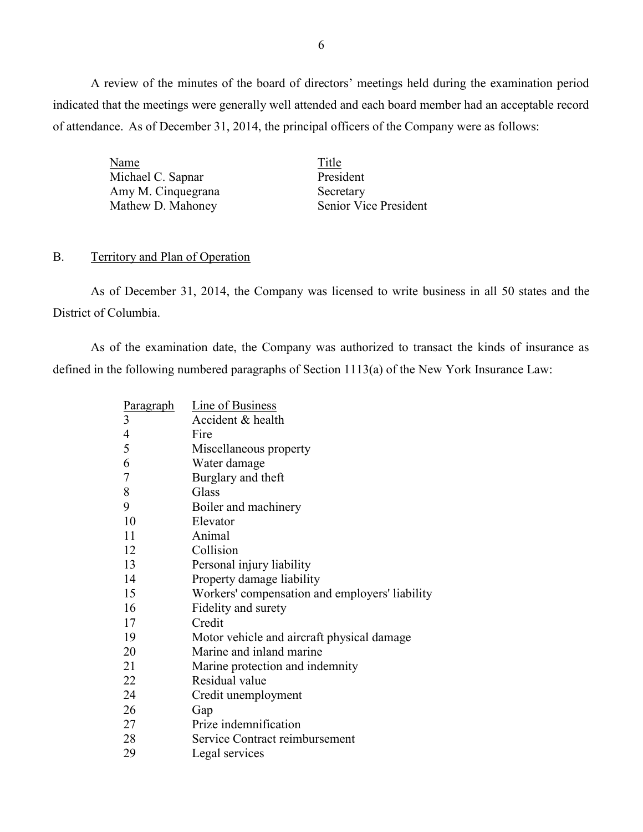A review of the minutes of the board of directors' meetings held during the examination period indicated that the meetings were generally well attended and each board member had an acceptable record of attendance. As of December 31, 2014, the principal officers of the Company were as follows:

| Title                 |
|-----------------------|
| President             |
| Secretary             |
| Senior Vice President |
|                       |

### <span id="page-7-0"></span>B. Territory and Plan of Operation

 As of December 31, 2014, the Company was licensed to write business in all 50 states and the District of Columbia.

 As of the examination date, the Company was authorized to transact the kinds of insurance as defined in the following numbered paragraphs of Section 1113(a) of the New York Insurance Law:

| Paragraph      | <b>Line of Business</b>                        |
|----------------|------------------------------------------------|
| 3              | Accident & health                              |
| 4              | Fire                                           |
| 5              | Miscellaneous property                         |
| 6              | Water damage                                   |
| $\overline{7}$ | Burglary and theft                             |
| 8              | Glass                                          |
| 9              | Boiler and machinery                           |
| 10             | Elevator                                       |
| 11             | Animal                                         |
| 12             | Collision                                      |
| 13             | Personal injury liability                      |
| 14             | Property damage liability                      |
| 15             | Workers' compensation and employers' liability |
| 16             | Fidelity and surety                            |
| 17             | Credit                                         |
| 19             | Motor vehicle and aircraft physical damage     |
| 20             | Marine and inland marine                       |
| 21             | Marine protection and indemnity                |
| 22             | Residual value                                 |
| 24             | Credit unemployment                            |
| 26             | Gap                                            |
| 27             | Prize indemnification                          |
| 28             | Service Contract reimbursement                 |
| 29             | Legal services                                 |
|                |                                                |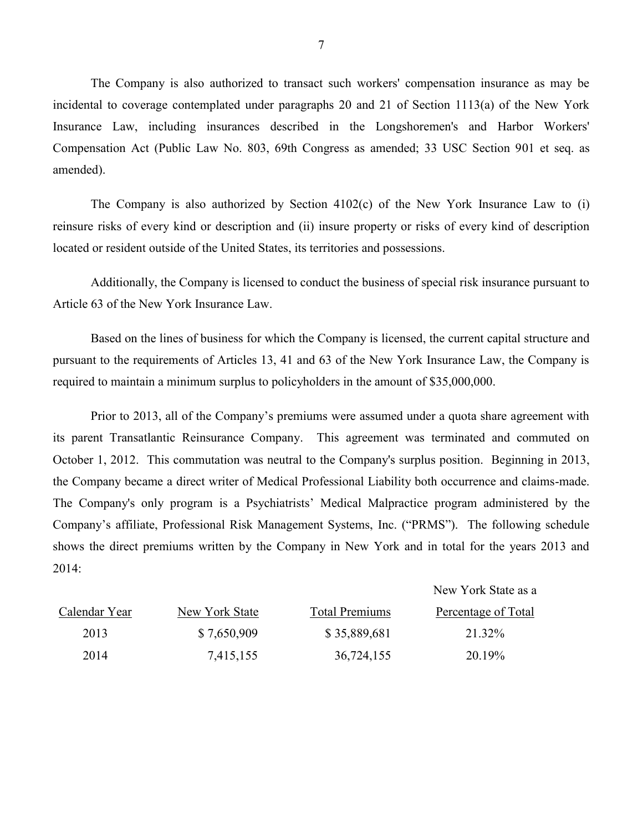incidental to coverage contemplated under paragraphs 20 and 21 of Section 1113(a) of the New York The Company is also authorized to transact such workers' compensation insurance as may be Insurance Law, including insurances described in the Longshoremen's and Harbor Workers' Compensation Act (Public Law No. 803, 69th Congress as amended; 33 USC Section 901 et seq. as amended).

 reinsure risks of every kind or description and (ii) insure property or risks of every kind of description The Company is also authorized by Section 4102(c) of the New York Insurance Law to (i) located or resident outside of the United States, its territories and possessions.

 Article 63 of the New York Insurance Law. Additionally, the Company is licensed to conduct the business of special risk insurance pursuant to

 Based on the lines of business for which the Company is licensed, the current capital structure and pursuant to the requirements of Articles 13, 41 and 63 of the New York Insurance Law, the Company is required to maintain a minimum surplus to policyholders in the amount of \$35,000,000.

 its parent Transatlantic Reinsurance Company. This agreement was terminated and commuted on October 1, 2012. This commutation was neutral to the Company's surplus position. Beginning in 2013, the Company became a direct writer of Medical Professional Liability both occurrence and claims-made. Company's affiliate, Professional Risk Management Systems, Inc. ("PRMS"). The following schedule Prior to 2013, all of the Company's premiums were assumed under a quota share agreement with The Company's only program is a Psychiatrists' Medical Malpractice program administered by the shows the direct premiums written by the Company in New York and in total for the years 2013 and 2014:

New York State as a

| Calendar Year | New York State | <b>Total Premiums</b> | Percentage of Total |
|---------------|----------------|-----------------------|---------------------|
| 2013          | \$7,650,909    | \$35,889,681          | 21.32%              |
| 2014          | 7,415,155      | 36,724,155            | 20.19%              |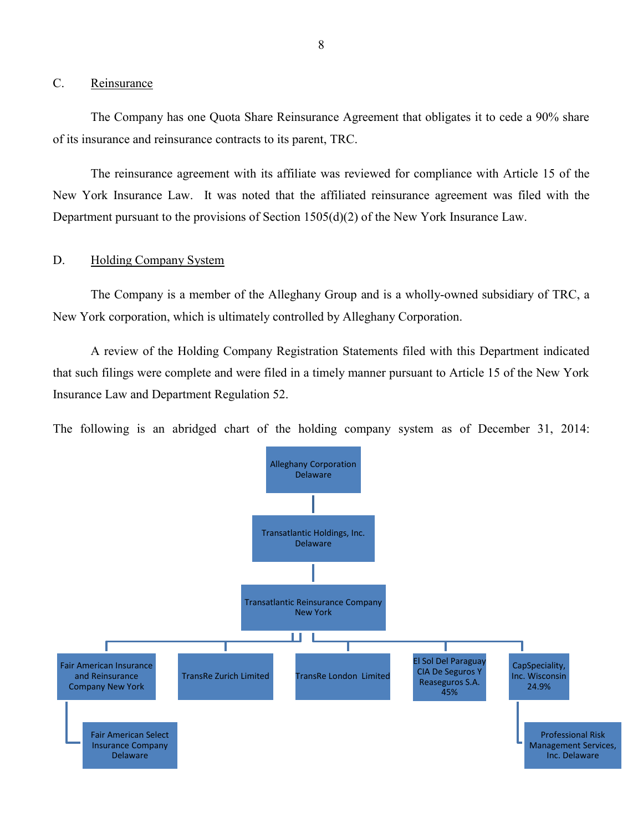## <span id="page-9-0"></span>C. Reinsurance

 The Company has one Quota Share Reinsurance Agreement that obligates it to cede a 90% share of its insurance and reinsurance contracts to its parent, TRC.

 New York Insurance Law. It was noted that the affiliated reinsurance agreement was filed with the Department pursuant to the provisions of Section 1505(d)(2) of the New York Insurance Law. The reinsurance agreement with its affiliate was reviewed for compliance with Article 15 of the

## <span id="page-9-1"></span>D. Holding Company System

The Company is a member of the Alleghany Group and is a wholly-owned subsidiary of TRC, a New York corporation, which is ultimately controlled by Alleghany Corporation.

 A review of the Holding Company Registration Statements filed with this Department indicated that such filings were complete and were filed in a timely manner pursuant to Article 15 of the New York Insurance Law and Department Regulation 52.

The following is an abridged chart of the holding company system as of December 31, 2014:

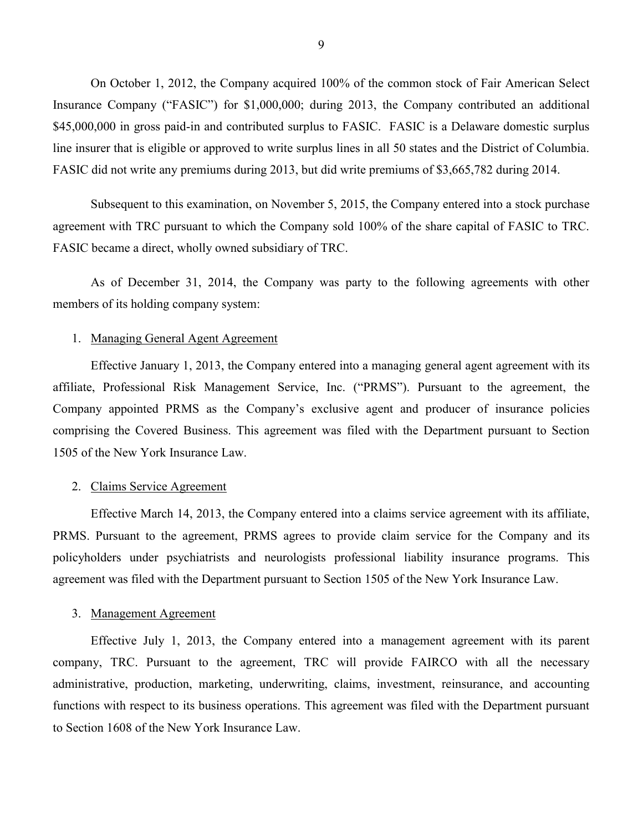On October 1, 2012, the Company acquired 100% of the common stock of Fair American Select Insurance Company ("FASIC") for \$1,000,000; during 2013, the Company contributed an additional \$45,000,000 in gross paid-in and contributed surplus to FASIC. FASIC is a Delaware domestic surplus line insurer that is eligible or approved to write surplus lines in all 50 states and the District of Columbia. FASIC did not write any premiums during 2013, but did write premiums of \$3,665,782 during 2014.

 agreement with TRC pursuant to which the Company sold 100% of the share capital of FASIC to TRC. Subsequent to this examination, on November 5, 2015, the Company entered into a stock purchase FASIC became a direct, wholly owned subsidiary of TRC.

 As of December 31, 2014, the Company was party to the following agreements with other members of its holding company system:

#### 1. Managing General Agent Agreement

 Effective January 1, 2013, the Company entered into a managing general agent agreement with its Company appointed PRMS as the Company's exclusive agent and producer of insurance policies 1505 of the New York Insurance Law. affiliate, Professional Risk Management Service, Inc. ("PRMS"). Pursuant to the agreement, the comprising the Covered Business. This agreement was filed with the Department pursuant to Section

#### 2. Claims Service Agreement

 Effective March 14, 2013, the Company entered into a claims service agreement with its affiliate, PRMS. Pursuant to the agreement, PRMS agrees to provide claim service for the Company and its policyholders under psychiatrists and neurologists professional liability insurance programs. This agreement was filed with the Department pursuant to Section 1505 of the New York Insurance Law.

#### 3. Management Agreement

 Effective July 1, 2013, the Company entered into a management agreement with its parent company, TRC. Pursuant to the agreement, TRC will provide FAIRCO with all the necessary to Section 1608 of the New York Insurance Law.administrative, production, marketing, underwriting, claims, investment, reinsurance, and accounting functions with respect to its business operations. This agreement was filed with the Department pursuant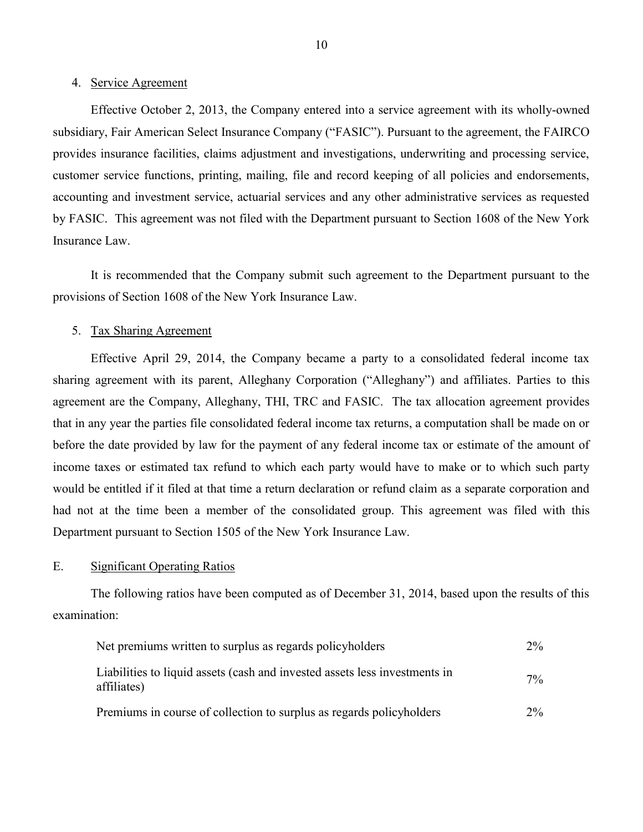#### 4. Service Agreement

 Effective October 2, 2013, the Company entered into a service agreement with its wholly-owned subsidiary, Fair American Select Insurance Company ("FASIC"). Pursuant to the agreement, the FAIRCO provides insurance facilities, claims adjustment and investigations, underwriting and processing service, customer service functions, printing, mailing, file and record keeping of all policies and endorsements, by FASIC. This agreement was not filed with the Department pursuant to Section 1608 of the New York Insurance Law. accounting and investment service, actuarial services and any other administrative services as requested

<span id="page-11-1"></span> It is recommended that the Company submit such agreement to the Department pursuant to the provisions of Section 1608 of the New York Insurance Law.

### 5. Tax Sharing Agreement

 Effective April 29, 2014, the Company became a party to a consolidated federal income tax agreement are the Company, Alleghany, THI, TRC and FASIC. The tax allocation agreement provides that in any year the parties file consolidated federal income tax returns, a computation shall be made on or before the date provided by law for the payment of any federal income tax or estimate of the amount of income taxes or estimated tax refund to which each party would have to make or to which such party would be entitled if it filed at that time a return declaration or refund claim as a separate corporation and had not at the time been a member of the consolidated group. This agreement was filed with this Department pursuant to Section 1505 of the New York Insurance Law. sharing agreement with its parent, Alleghany Corporation ("Alleghany") and affiliates. Parties to this

#### <span id="page-11-0"></span>E. Significant Operating Ratios

The following ratios have been computed as of December 31, 2014, based upon the results of this examination:

| Net premiums written to surplus as regards policyholders                                  | $2\%$ |
|-------------------------------------------------------------------------------------------|-------|
| Liabilities to liquid assets (cash and invested assets less investments in<br>affiliates) | $7\%$ |
| Premiums in course of collection to surplus as regards policyholders                      | $2\%$ |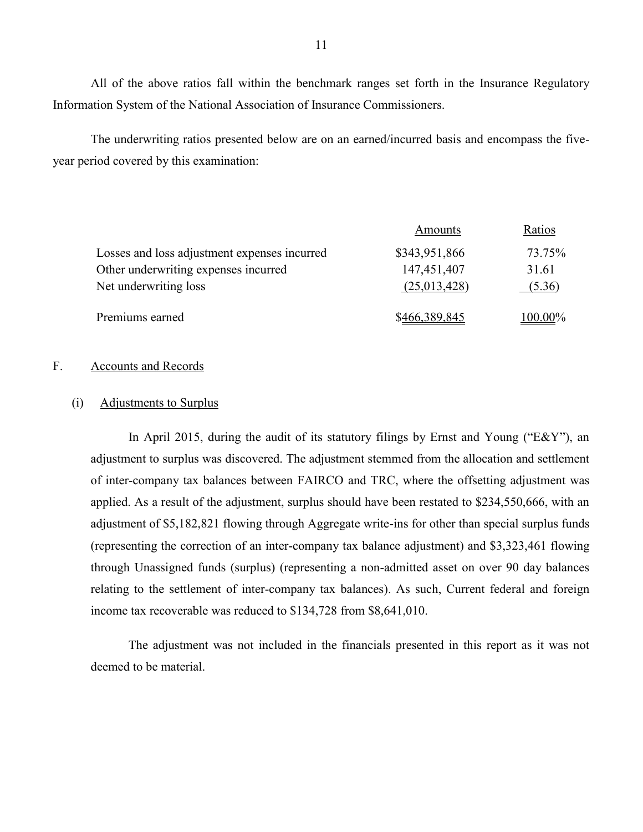All of the above ratios fall within the benchmark ranges set forth in the Insurance Regulatory Information System of the National Association of Insurance Commissioners.

The underwriting ratios presented below are on an earned/incurred basis and encompass the fiveyear period covered by this examination:

|                                              | Amounts       | Ratios  |
|----------------------------------------------|---------------|---------|
| Losses and loss adjustment expenses incurred | \$343,951,866 | 73.75%  |
| Other underwriting expenses incurred         | 147,451,407   | 31.61   |
| Net underwriting loss                        | (25,013,428)  | (5.36)  |
| Premiums earned                              | \$466,389,845 | 100.00% |

## <span id="page-12-0"></span>F. Accounts and Records

### (i) Adjustments to Surplus

 of inter-company tax balances between FAIRCO and TRC, where the offsetting adjustment was applied. As a result of the adjustment, surplus should have been restated to \$234,550,666, with an adjustment of \$5,182,821 flowing through Aggregate write-ins for other than special surplus funds (representing the correction of an inter-company tax balance adjustment) and \$3,323,461 flowing through Unassigned funds (surplus) (representing a non-admitted asset on over 90 day balances relating to the settlement of inter-company tax balances). As such, Current federal and foreign income tax recoverable was reduced to \$134,728 from \$8,641,010. In April 2015, during the audit of its statutory filings by Ernst and Young ("E&Y"), an adjustment to surplus was discovered. The adjustment stemmed from the allocation and settlement

The adjustment was not included in the financials presented in this report as it was not deemed to be material.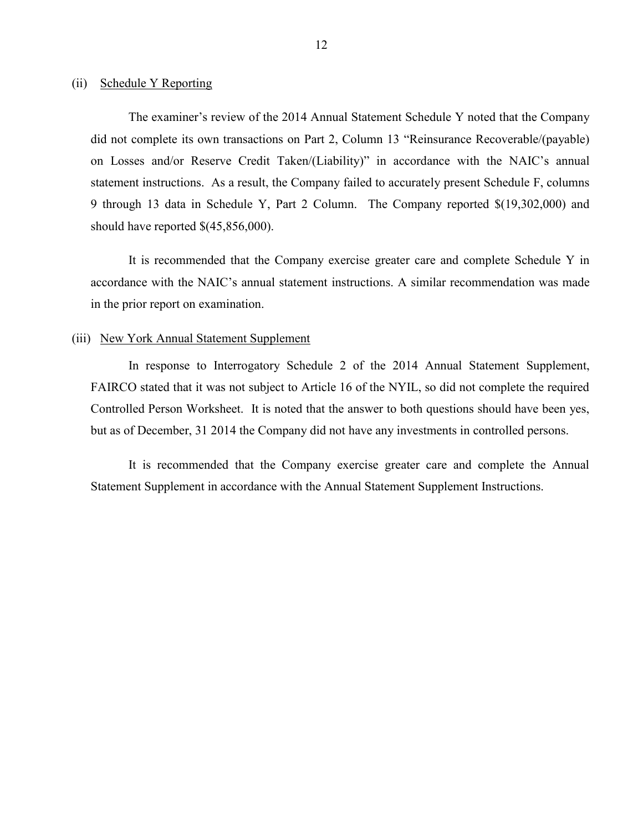#### (ii) Schedule Y Reporting

 did not complete its own transactions on Part 2, Column 13 "Reinsurance Recoverable/(payable) on Losses and/or Reserve Credit Taken/(Liability)" in accordance with the NAIC's annual statement instructions. As a result, the Company failed to accurately present Schedule F, columns 9 through 13 data in Schedule Y, Part 2 Column. The Company reported \$(19,302,000) and The examiner's review of the 2014 Annual Statement Schedule Y noted that the Company should have reported \$(45,856,000).

<span id="page-13-0"></span> It is recommended that the Company exercise greater care and complete Schedule Y in accordance with the NAIC's annual statement instructions. A similar recommendation was made in the prior report on examination.

#### (iii) New York Annual Statement Supplement

 Controlled Person Worksheet. It is noted that the answer to both questions should have been yes, In response to Interrogatory Schedule 2 of the 2014 Annual Statement Supplement, FAIRCO stated that it was not subject to Article 16 of the NYIL, so did not complete the required but as of December, 31 2014 the Company did not have any investments in controlled persons.

<span id="page-13-1"></span>It is recommended that the Company exercise greater care and complete the Annual Statement Supplement in accordance with the Annual Statement Supplement Instructions.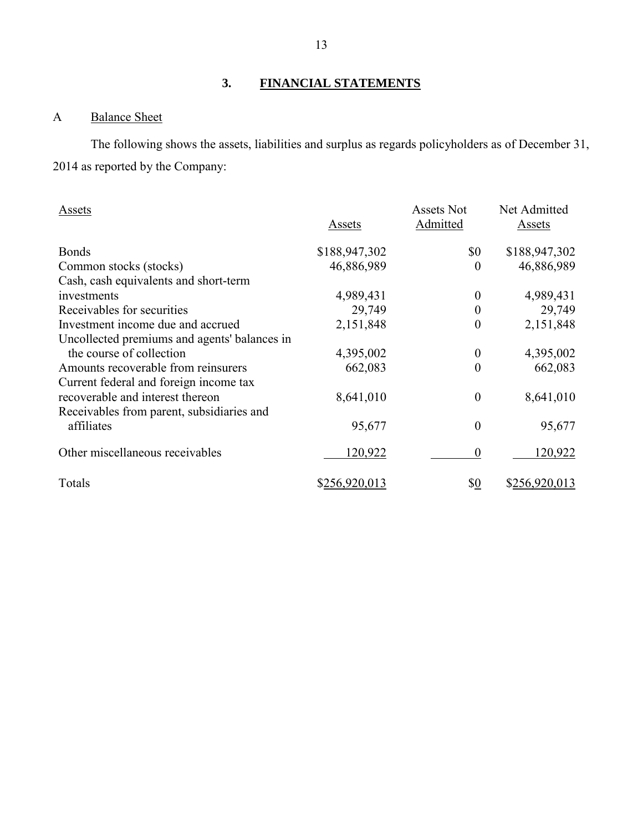# **3. FINANCIAL STATEMENTS**

## <span id="page-14-1"></span><span id="page-14-0"></span>A Balance Sheet

The following shows the assets, liabilities and surplus as regards policyholders as of December 31, 2014 as reported by the Company:

| Assets                                       | Assets        | Assets Not<br>Admitted | Net Admitted<br>Assets |
|----------------------------------------------|---------------|------------------------|------------------------|
| <b>Bonds</b>                                 | \$188,947,302 | \$0                    | \$188,947,302          |
| Common stocks (stocks)                       | 46,886,989    | $\overline{0}$         | 46,886,989             |
| Cash, cash equivalents and short-term        |               |                        |                        |
| investments                                  | 4,989,431     | $\theta$               | 4,989,431              |
| Receivables for securities                   | 29,749        | 0                      | 29,749                 |
| Investment income due and accrued            | 2,151,848     | $\boldsymbol{0}$       | 2,151,848              |
| Uncollected premiums and agents' balances in |               |                        |                        |
| the course of collection                     | 4,395,002     | $\boldsymbol{0}$       | 4,395,002              |
| Amounts recoverable from reinsurers          | 662,083       | $\boldsymbol{0}$       | 662,083                |
| Current federal and foreign income tax       |               |                        |                        |
| recoverable and interest thereon             | 8,641,010     | $\boldsymbol{0}$       | 8,641,010              |
| Receivables from parent, subsidiaries and    |               |                        |                        |
| affiliates                                   | 95,677        | $\boldsymbol{0}$       | 95,677                 |
| Other miscellaneous receivables              | 120,922       | $\boldsymbol{0}$       | 120,922                |
| Totals                                       | \$256,920,013 | \$ <u>0</u>            | \$256,920,013          |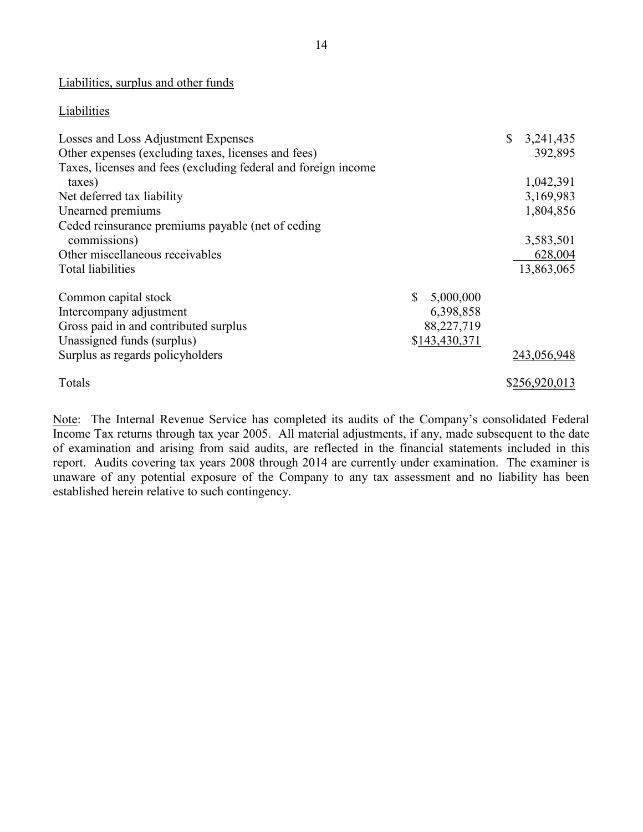Liabilities, surplus and other funds

## **Liabilities**

| Losses and Loss Adjustment Expenses                            | $\mathbb{S}$ | 3,241,435   |
|----------------------------------------------------------------|--------------|-------------|
| Other expenses (excluding taxes, licenses and fees)            |              | 392,895     |
| Taxes, licenses and fees (excluding federal and foreign income |              |             |
| taxes)                                                         |              | 1,042,391   |
| Net deferred tax liability                                     |              | 3,169,983   |
| Unearned premiums                                              |              | 1,804,856   |
| Ceded reinsurance premiums payable (net of ceding              |              |             |
| commissions)                                                   |              | 3,583,501   |
| Other miscellaneous receivables                                |              | 628,004     |
| Total liabilities                                              |              | 13,863,065  |
|                                                                |              |             |
| \$<br>5,000,000<br>Common capital stock                        |              |             |
| 6,398,858<br>Intercompany adjustment                           |              |             |
| Gross paid in and contributed surplus<br>88,227,719            |              |             |
| \$143,430,371<br>Unassigned funds (surplus)                    |              |             |
| Surplus as regards policyholders                               |              | 243,056,948 |
| Totals                                                         |              | \$256,920.  |

Note: The Internal Revenue Service has completed its audits of the Company's consolidated Federal Income Tax returns through tax year 2005. All material adjustments, if any, made subsequent to the date of examination and arising from said audits, are reflected in the financial statements included in this report. Audits covering tax years 2008 through 2014 are currently under examination. The examiner is unaware of any potential exposure of the Company to any tax assessment and no liability has been established herein relative to such contingency.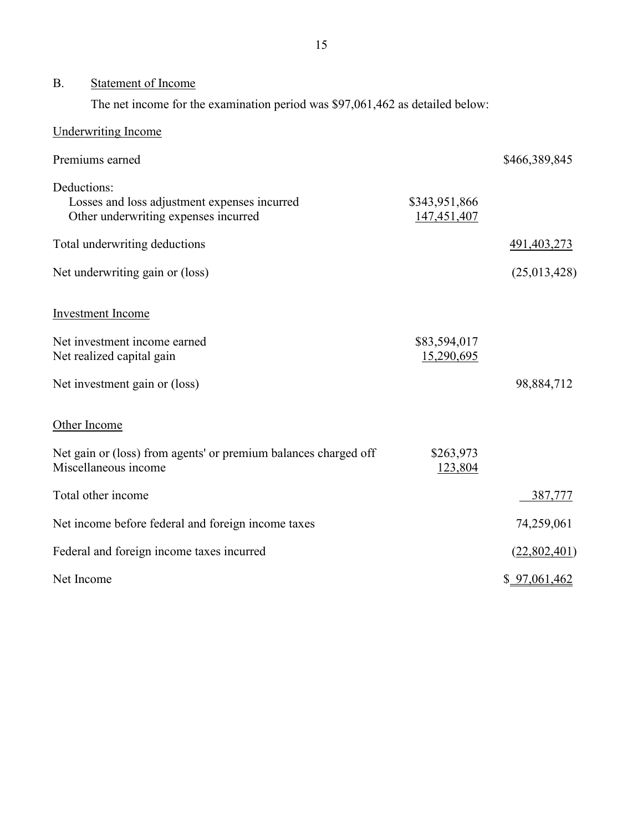#### <span id="page-16-0"></span>B. Statement of Income

The net income for the examination period was \$97,061,462 as detailed below:

| <b>Underwriting Income</b>                                                                          |                              |               |
|-----------------------------------------------------------------------------------------------------|------------------------------|---------------|
| Premiums earned                                                                                     |                              | \$466,389,845 |
| Deductions:<br>Losses and loss adjustment expenses incurred<br>Other underwriting expenses incurred | \$343,951,866<br>147,451,407 |               |
| Total underwriting deductions                                                                       |                              | 491, 403, 273 |
| Net underwriting gain or (loss)                                                                     |                              | (25,013,428)  |
| <b>Investment</b> Income                                                                            |                              |               |
| Net investment income earned<br>Net realized capital gain                                           | \$83,594,017<br>15,290,695   |               |
| Net investment gain or (loss)                                                                       |                              | 98,884,712    |
| Other Income                                                                                        |                              |               |
| Net gain or (loss) from agents' or premium balances charged off<br>Miscellaneous income             | \$263,973<br>123,804         |               |
| Total other income                                                                                  |                              | 387,777       |
| Net income before federal and foreign income taxes                                                  |                              | 74,259,061    |
| Federal and foreign income taxes incurred                                                           |                              | (22,802,401)  |
| Net Income                                                                                          |                              | \$97,061,462  |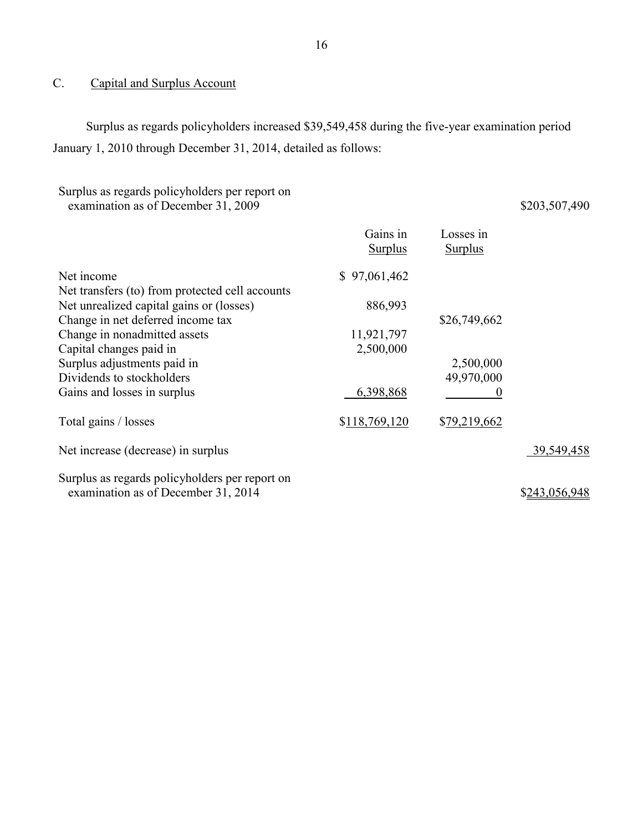# <span id="page-17-0"></span>C. Capital and Surplus Account

Surplus as regards policyholders increased \$39,549,458 during the five-year examination period January 1, 2010 through December 31, 2014, detailed as follows:

| Surplus as regards policyholders per report on<br>examination as of December 31, 2009 |                            |                             | \$203,507,490 |
|---------------------------------------------------------------------------------------|----------------------------|-----------------------------|---------------|
|                                                                                       | Gains in<br><b>Surplus</b> | Losses in<br><b>Surplus</b> |               |
| Net income                                                                            | \$97,061,462               |                             |               |
| Net transfers (to) from protected cell accounts                                       |                            |                             |               |
| Net unrealized capital gains or (losses)                                              | 886,993                    |                             |               |
| Change in net deferred income tax                                                     |                            | \$26,749,662                |               |
| Change in nonadmitted assets                                                          | 11,921,797                 |                             |               |
| Capital changes paid in                                                               | 2,500,000                  |                             |               |
| Surplus adjustments paid in                                                           |                            | 2,500,000                   |               |
| Dividends to stockholders                                                             |                            | 49,970,000                  |               |
| Gains and losses in surplus                                                           | 6,398,868                  | 0                           |               |
| Total gains / losses                                                                  | \$118,769,120              | \$79,219,662                |               |
| Net increase (decrease) in surplus                                                    |                            |                             | 39,549,458    |
| Surplus as regards policyholders per report on<br>examination as of December 31, 2014 |                            |                             | \$243,056,948 |
|                                                                                       |                            |                             |               |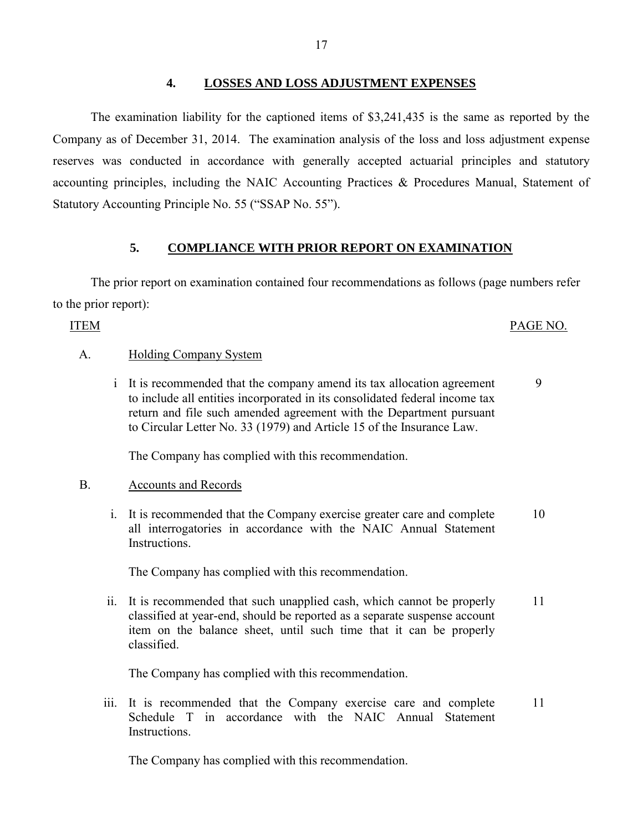## **4. LOSSES AND LOSS ADJUSTMENT EXPENSES**

<span id="page-18-0"></span> Company as of December 31, 2014. The examination analysis of the loss and loss adjustment expense reserves was conducted in accordance with generally accepted actuarial principles and statutory accounting principles, including the NAIC Accounting Practices & Procedures Manual, Statement of The examination liability for the captioned items of \$3,241,435 is the same as reported by the Statutory Accounting Principle No. 55 ("SSAP No. 55").

## **5. COMPLIANCE WITH PRIOR REPORT ON EXAMINATION**

<span id="page-18-1"></span>The prior report on examination contained four recommendations as follows (page numbers refer to the prior report):

## ITEM PAGE NO.

## A. Holding Company System

 i It is recommended that the company amend its tax allocation agreement to include all entities incorporated in its consolidated federal income tax return and file such amended agreement with the Department pursuant to Circular Letter No. 33 (1979) and Article 15 of the Insurance Law. 9

The Company has complied with this recommendation.

## B. Accounts and Records

 i. It is recommended that the Company exercise greater care and complete all interrogatories in accordance with the NAIC Annual Statement Instructions. 10

The Company has complied with this recommendation.

 ii. It is recommended that such unapplied cash, which cannot be properly classified at year-end, should be reported as a separate suspense account item on the balance sheet, until such time that it can be properly classified. 11

The Company has complied with this recommendation.

iii. It is recommended that the Company exercise care and complete 11 Schedule T in accordance with the NAIC Annual Statement Instructions.

The Company has complied with this recommendation.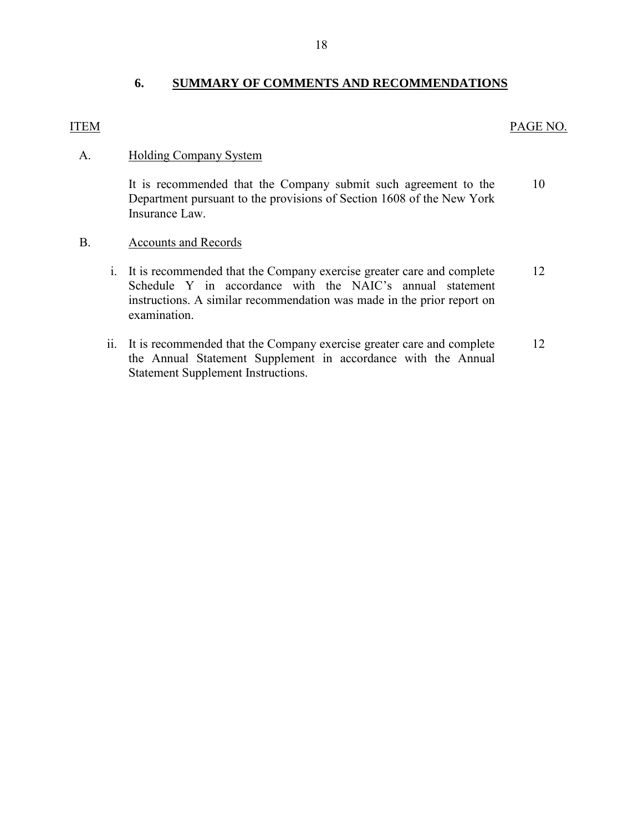## **6. SUMMARY OF COMMENTS AND RECOMMENDATIONS**

## <span id="page-19-0"></span>ITEM

## PAGE NO.

#### A. Holding Company System

 It is recommended that the Company submit such agreement to the Department pursuant to the provisions of Section 1608 of the New York Insurance Law. [10](#page-11-1)

#### B. Accounts and Records

- i. It is recommended that the Company exercise greater care and complete Schedule Y in accordance with the NAIC's annual statement instructions. A similar recommendation was made in the prior report on examination. [12](#page-13-0)
- ii. It is recommended that the Company exercise greater care and complete the Annual Statement Supplement in accordance with the Annual Statement Supplement Instructions. [12](#page-13-1)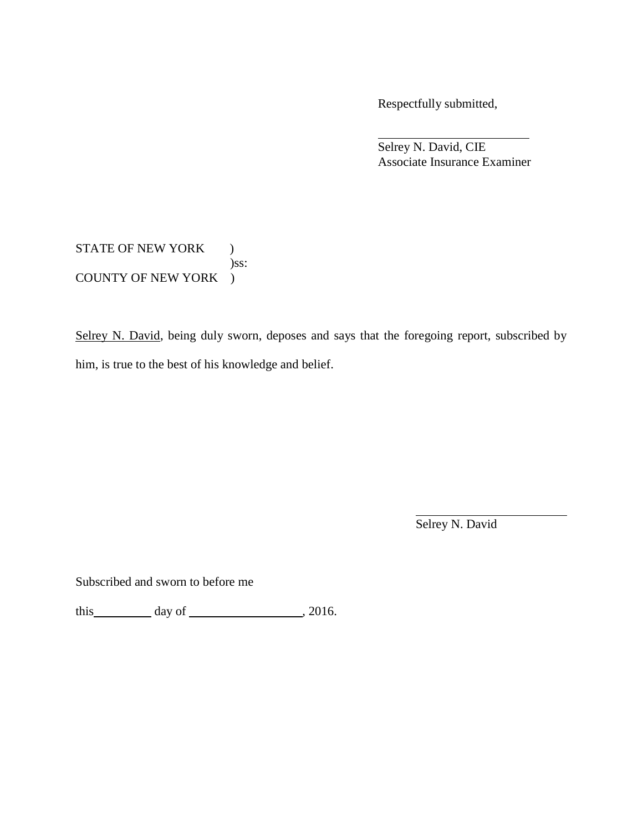Respectfully submitted,

 Associate Insurance Examiner Selrey N. David, CIE

STATE OF NEW YORK ) COUNTY OF NEW YORK ) )ss:

Selrey N. David, being duly sworn, deposes and says that the foregoing report, subscribed by him, is true to the best of his knowledge and belief.

Selrey N. David

Subscribed and sworn to before me

this  $\_\_\_\_\_$  day of  $\_\_\_\_\_$ , 2016.